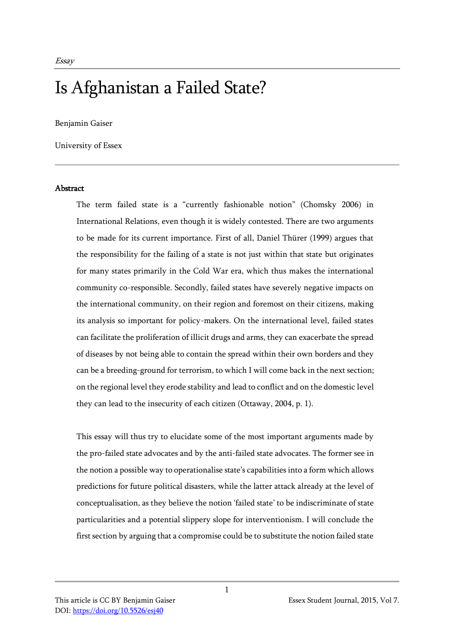# Is Afghanistan a Failed State?

Benjamin Gaiser

University of Essex

#### Abstract

The term failed state is a "currently fashionable notion" (Chomsky 2006) in International Relations, even though it is widely contested. There are two arguments to be made for its current importance. First of all, Daniel Thürer (1999) argues that the responsibility for the failing of a state is not just within that state but originates for many states primarily in the Cold War era, which thus makes the international community co-responsible. Secondly, failed states have severely negative impacts on the international community, on their region and foremost on their citizens, making its analysis so important for policy-makers. On the international level, failed states can facilitate the proliferation of illicit drugs and arms, they can exacerbate the spread of diseases by not being able to contain the spread within their own borders and they can be a breeding-ground for terrorism, to which I will come back in the next section; on the regional level they erode stability and lead to conflict and on the domestic level they can lead to the insecurity of each citizen (Ottaway, 2004, p. 1).

This essay will thus try to elucidate some of the most important arguments made by the pro-failed state advocates and by the anti-failed state advocates. The former see in the notion a possible way to operationalise state's capabilities into a form which allows predictions for future political disasters, while the latter attack already at the level of conceptualisation, as they believe the notion 'failed state' to be indiscriminate of state particularities and a potential slippery slope for interventionism. I will conclude the first section by arguing that a compromise could be to substitute the notion failed state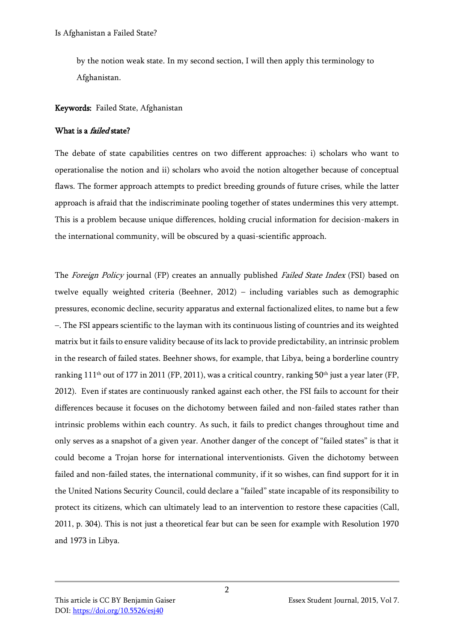by the notion weak state. In my second section, I will then apply this terminology to Afghanistan.

## Keywords: Failed State, Afghanistan

#### What is a *failed* state?

The debate of state capabilities centres on two different approaches: i) scholars who want to operationalise the notion and ii) scholars who avoid the notion altogether because of conceptual flaws. The former approach attempts to predict breeding grounds of future crises, while the latter approach is afraid that the indiscriminate pooling together of states undermines this very attempt. This is a problem because unique differences, holding crucial information for decision-makers in the international community, will be obscured by a quasi-scientific approach.

The Foreign Policy journal (FP) creates an annually published Failed State Index (FSI) based on twelve equally weighted criteria (Beehner, 2012) – including variables such as demographic pressures, economic decline, security apparatus and external factionalized elites, to name but a few –. The FSI appears scientific to the layman with its continuous listing of countries and its weighted matrix but it fails to ensure validity because of its lack to provide predictability, an intrinsic problem in the research of failed states. Beehner shows, for example, that Libya, being a borderline country ranking  $111<sup>th</sup>$  out of 177 in 2011 (FP, 2011), was a critical country, ranking 50<sup>th</sup> just a year later (FP, 2012). Even if states are continuously ranked against each other, the FSI fails to account for their differences because it focuses on the dichotomy between failed and non-failed states rather than intrinsic problems within each country. As such, it fails to predict changes throughout time and only serves as a snapshot of a given year. Another danger of the concept of "failed states" is that it could become a Trojan horse for international interventionists. Given the dichotomy between failed and non-failed states, the international community, if it so wishes, can find support for it in the United Nations Security Council, could declare a "failed" state incapable of its responsibility to protect its citizens, which can ultimately lead to an intervention to restore these capacities (Call, 2011, p. 304). This is not just a theoretical fear but can be seen for example with Resolution 1970 and 1973 in Libya.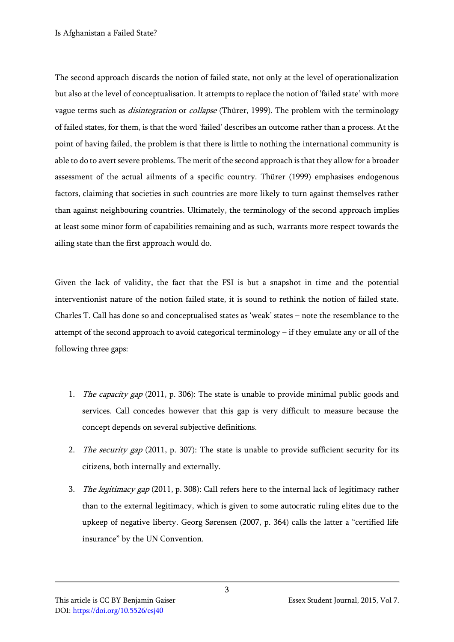The second approach discards the notion of failed state, not only at the level of operationalization but also at the level of conceptualisation. It attempts to replace the notion of 'failed state' with more vague terms such as *disintegration* or *collapse* (Thürer, 1999). The problem with the terminology of failed states, for them, is that the word 'failed' describes an outcome rather than a process. At the point of having failed, the problem is that there is little to nothing the international community is able to do to avert severe problems. The merit of the second approach is that they allow for a broader assessment of the actual ailments of a specific country. Thürer (1999) emphasises endogenous factors, claiming that societies in such countries are more likely to turn against themselves rather than against neighbouring countries. Ultimately, the terminology of the second approach implies at least some minor form of capabilities remaining and as such, warrants more respect towards the ailing state than the first approach would do.

Given the lack of validity, the fact that the FSI is but a snapshot in time and the potential interventionist nature of the notion failed state, it is sound to rethink the notion of failed state. Charles T. Call has done so and conceptualised states as 'weak' states – note the resemblance to the attempt of the second approach to avoid categorical terminology – if they emulate any or all of the following three gaps:

- 1. *The capacity gap* (2011, p. 306): The state is unable to provide minimal public goods and services. Call concedes however that this gap is very difficult to measure because the concept depends on several subjective definitions.
- 2. The security gap (2011, p. 307): The state is unable to provide sufficient security for its citizens, both internally and externally.
- 3. The legitimacy gap (2011, p. 308): Call refers here to the internal lack of legitimacy rather than to the external legitimacy, which is given to some autocratic ruling elites due to the upkeep of negative liberty. Georg Sørensen (2007, p. 364) calls the latter a "certified life insurance" by the UN Convention.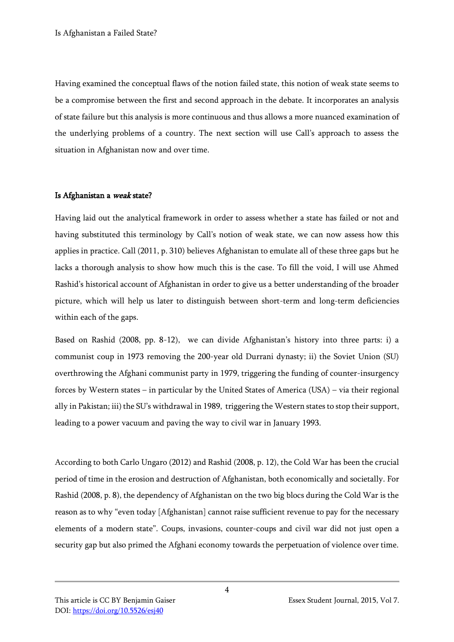Having examined the conceptual flaws of the notion failed state, this notion of weak state seems to be a compromise between the first and second approach in the debate. It incorporates an analysis of state failure but this analysis is more continuous and thus allows a more nuanced examination of the underlying problems of a country. The next section will use Call's approach to assess the situation in Afghanistan now and over time.

#### Is Afghanistan a weak state?

Having laid out the analytical framework in order to assess whether a state has failed or not and having substituted this terminology by Call's notion of weak state, we can now assess how this applies in practice. Call (2011, p. 310) believes Afghanistan to emulate all of these three gaps but he lacks a thorough analysis to show how much this is the case. To fill the void, I will use Ahmed Rashid's historical account of Afghanistan in order to give us a better understanding of the broader picture, which will help us later to distinguish between short-term and long-term deficiencies within each of the gaps.

Based on Rashid (2008, pp. 8-12), we can divide Afghanistan's history into three parts: i) a communist coup in 1973 removing the 200-year old Durrani dynasty; ii) the Soviet Union (SU) overthrowing the Afghani communist party in 1979, triggering the funding of counter-insurgency forces by Western states – in particular by the United States of America (USA) – via their regional ally in Pakistan; iii) the SU's withdrawal in 1989, triggering the Western states to stop their support, leading to a power vacuum and paving the way to civil war in January 1993.

According to both Carlo Ungaro (2012) and Rashid (2008, p. 12), the Cold War has been the crucial period of time in the erosion and destruction of Afghanistan, both economically and societally. For Rashid (2008, p. 8), the dependency of Afghanistan on the two big blocs during the Cold War is the reason as to why "even today [Afghanistan] cannot raise sufficient revenue to pay for the necessary elements of a modern state". Coups, invasions, counter-coups and civil war did not just open a security gap but also primed the Afghani economy towards the perpetuation of violence over time.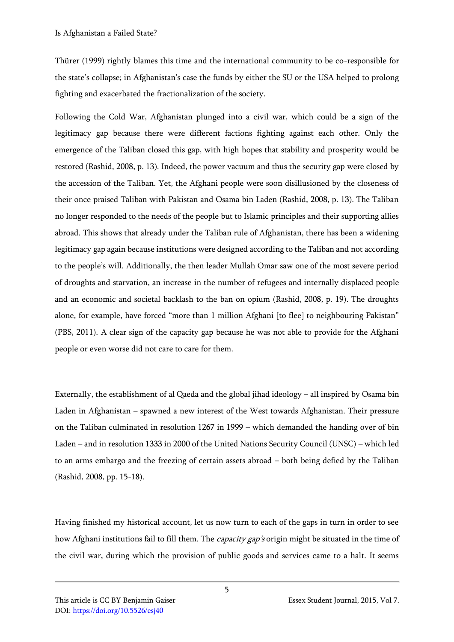Thürer (1999) rightly blames this time and the international community to be co-responsible for the state's collapse; in Afghanistan's case the funds by either the SU or the USA helped to prolong fighting and exacerbated the fractionalization of the society.

Following the Cold War, Afghanistan plunged into a civil war, which could be a sign of the legitimacy gap because there were different factions fighting against each other. Only the emergence of the Taliban closed this gap, with high hopes that stability and prosperity would be restored (Rashid, 2008, p. 13). Indeed, the power vacuum and thus the security gap were closed by the accession of the Taliban. Yet, the Afghani people were soon disillusioned by the closeness of their once praised Taliban with Pakistan and Osama bin Laden (Rashid, 2008, p. 13). The Taliban no longer responded to the needs of the people but to Islamic principles and their supporting allies abroad. This shows that already under the Taliban rule of Afghanistan, there has been a widening legitimacy gap again because institutions were designed according to the Taliban and not according to the people's will. Additionally, the then leader Mullah Omar saw one of the most severe period of droughts and starvation, an increase in the number of refugees and internally displaced people and an economic and societal backlash to the ban on opium (Rashid, 2008, p. 19). The droughts alone, for example, have forced "more than 1 million Afghani [to flee] to neighbouring Pakistan" (PBS, 2011). A clear sign of the capacity gap because he was not able to provide for the Afghani people or even worse did not care to care for them.

Externally, the establishment of al Qaeda and the global jihad ideology – all inspired by Osama bin Laden in Afghanistan – spawned a new interest of the West towards Afghanistan. Their pressure on the Taliban culminated in resolution 1267 in 1999 – which demanded the handing over of bin Laden – and in resolution 1333 in 2000 of the United Nations Security Council (UNSC) – which led to an arms embargo and the freezing of certain assets abroad – both being defied by the Taliban (Rashid, 2008, pp. 15-18).

Having finished my historical account, let us now turn to each of the gaps in turn in order to see how Afghani institutions fail to fill them. The *capacity gap's* origin might be situated in the time of the civil war, during which the provision of public goods and services came to a halt. It seems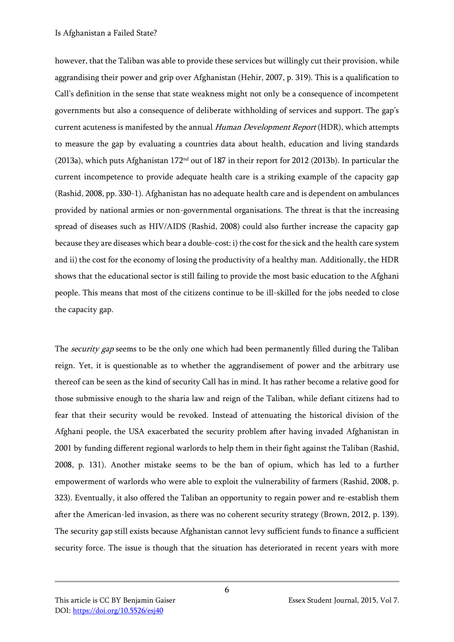however, that the Taliban was able to provide these services but willingly cut their provision, while aggrandising their power and grip over Afghanistan (Hehir, 2007, p. 319). This is a qualification to Call's definition in the sense that state weakness might not only be a consequence of incompetent governments but also a consequence of deliberate withholding of services and support. The gap's current acuteness is manifested by the annual Human Development Report (HDR), which attempts to measure the gap by evaluating a countries data about health, education and living standards (2013a), which puts Afghanistan 172<sup>nd</sup> out of 187 in their report for 2012 (2013b). In particular the current incompetence to provide adequate health care is a striking example of the capacity gap (Rashid, 2008, pp. 330-1). Afghanistan has no adequate health care and is dependent on ambulances provided by national armies or non-governmental organisations. The threat is that the increasing spread of diseases such as HIV/AIDS (Rashid, 2008) could also further increase the capacity gap because they are diseases which bear a double-cost: i) the cost for the sick and the health care system and ii) the cost for the economy of losing the productivity of a healthy man. Additionally, the HDR shows that the educational sector is still failing to provide the most basic education to the Afghani people. This means that most of the citizens continue to be ill-skilled for the jobs needed to close the capacity gap.

The *security gap* seems to be the only one which had been permanently filled during the Taliban reign. Yet, it is questionable as to whether the aggrandisement of power and the arbitrary use thereof can be seen as the kind of security Call has in mind. It has rather become a relative good for those submissive enough to the sharia law and reign of the Taliban, while defiant citizens had to fear that their security would be revoked. Instead of attenuating the historical division of the Afghani people, the USA exacerbated the security problem after having invaded Afghanistan in 2001 by funding different regional warlords to help them in their fight against the Taliban (Rashid, 2008, p. 131). Another mistake seems to be the ban of opium, which has led to a further empowerment of warlords who were able to exploit the vulnerability of farmers (Rashid, 2008, p. 323). Eventually, it also offered the Taliban an opportunity to regain power and re-establish them after the American-led invasion, as there was no coherent security strategy (Brown, 2012, p. 139). The security gap still exists because Afghanistan cannot levy sufficient funds to finance a sufficient security force. The issue is though that the situation has deteriorated in recent years with more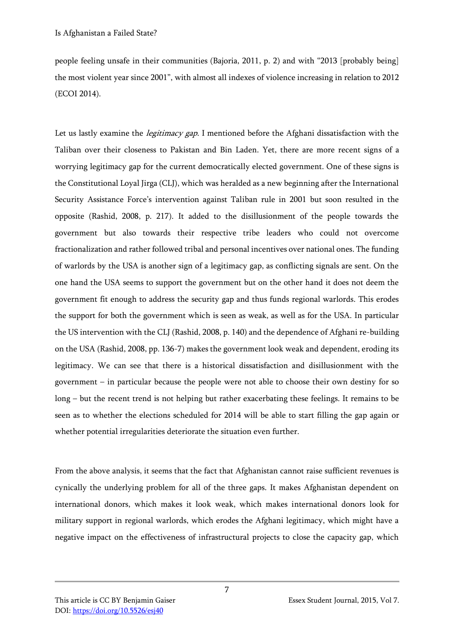people feeling unsafe in their communities (Bajoria, 2011, p. 2) and with "2013 [probably being] the most violent year since 2001", with almost all indexes of violence increasing in relation to 2012 (ECOI 2014).

Let us lastly examine the *legitimacy gap*. I mentioned before the Afghani dissatisfaction with the Taliban over their closeness to Pakistan and Bin Laden. Yet, there are more recent signs of a worrying legitimacy gap for the current democratically elected government. One of these signs is the Constitutional Loyal Jirga (CLJ), which was heralded as a new beginning after the International Security Assistance Force's intervention against Taliban rule in 2001 but soon resulted in the opposite (Rashid, 2008, p. 217). It added to the disillusionment of the people towards the government but also towards their respective tribe leaders who could not overcome fractionalization and rather followed tribal and personal incentives over national ones. The funding of warlords by the USA is another sign of a legitimacy gap, as conflicting signals are sent. On the one hand the USA seems to support the government but on the other hand it does not deem the government fit enough to address the security gap and thus funds regional warlords. This erodes the support for both the government which is seen as weak, as well as for the USA. In particular the US intervention with the CLJ (Rashid, 2008, p. 140) and the dependence of Afghani re-building on the USA (Rashid, 2008, pp. 136-7) makes the government look weak and dependent, eroding its legitimacy. We can see that there is a historical dissatisfaction and disillusionment with the government – in particular because the people were not able to choose their own destiny for so long – but the recent trend is not helping but rather exacerbating these feelings. It remains to be seen as to whether the elections scheduled for 2014 will be able to start filling the gap again or whether potential irregularities deteriorate the situation even further.

From the above analysis, it seems that the fact that Afghanistan cannot raise sufficient revenues is cynically the underlying problem for all of the three gaps. It makes Afghanistan dependent on international donors, which makes it look weak, which makes international donors look for military support in regional warlords, which erodes the Afghani legitimacy, which might have a negative impact on the effectiveness of infrastructural projects to close the capacity gap, which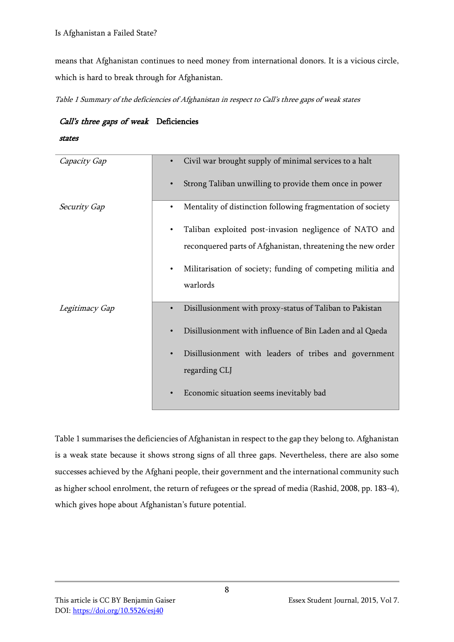means that Afghanistan continues to need money from international donors. It is a vicious circle, which is hard to break through for Afghanistan.

Table 1 Summary of the deficiencies of Afghanistan in respect to Call's three gaps of weak states

# Call's three gaps of weak Deficiencies

states

| Capacity Gap        | Civil war brought supply of minimal services to a halt      |
|---------------------|-------------------------------------------------------------|
|                     | Strong Taliban unwilling to provide them once in power      |
| <b>Security Gap</b> | Mentality of distinction following fragmentation of society |
|                     | Taliban exploited post-invasion negligence of NATO and      |
|                     | reconquered parts of Afghanistan, threatening the new order |
|                     | Militarisation of society; funding of competing militia and |
|                     | warlords                                                    |
| Legitimacy Gap      | Disillusionment with proxy-status of Taliban to Pakistan    |
|                     | Disillusionment with influence of Bin Laden and al Qaeda    |
|                     | Disillusionment with leaders of tribes and government       |
|                     | regarding CLJ                                               |
|                     | Economic situation seems inevitably bad                     |

Table 1 summarises the deficiencies of Afghanistan in respect to the gap they belong to. Afghanistan is a weak state because it shows strong signs of all three gaps. Nevertheless, there are also some successes achieved by the Afghani people, their government and the international community such as higher school enrolment, the return of refugees or the spread of media (Rashid, 2008, pp. 183-4), which gives hope about Afghanistan's future potential.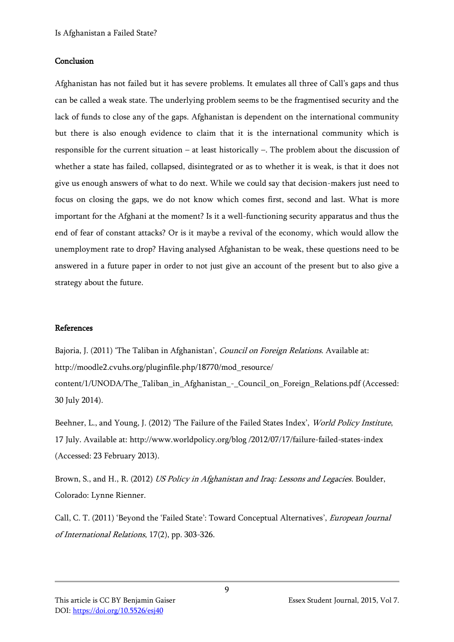### Conclusion

Afghanistan has not failed but it has severe problems. It emulates all three of Call's gaps and thus can be called a weak state. The underlying problem seems to be the fragmentised security and the lack of funds to close any of the gaps. Afghanistan is dependent on the international community but there is also enough evidence to claim that it is the international community which is responsible for the current situation – at least historically –. The problem about the discussion of whether a state has failed, collapsed, disintegrated or as to whether it is weak, is that it does not give us enough answers of what to do next. While we could say that decision-makers just need to focus on closing the gaps, we do not know which comes first, second and last. What is more important for the Afghani at the moment? Is it a well-functioning security apparatus and thus the end of fear of constant attacks? Or is it maybe a revival of the economy, which would allow the unemployment rate to drop? Having analysed Afghanistan to be weak, these questions need to be answered in a future paper in order to not just give an account of the present but to also give a strategy about the future.

# References

Bajoria, J. (2011) 'The Taliban in Afghanistan', *Council on Foreign Relations*. Available at: http://moodle2.cvuhs.org/pluginfile.php/18770/mod\_resource/ content/1/UNODA/The\_Taliban\_in\_Afghanistan\_-\_Council\_on\_Foreign\_Relations.pdf (Accessed: 30 July 2014).

Beehner, L., and Young, J. (2012) 'The Failure of the Failed States Index', World Policy Institute, 17 July. Available at: http://www.worldpolicy.org/blog /2012/07/17/failure-failed-states-index (Accessed: 23 February 2013).

Brown, S., and H., R. (2012) US Policy in Afghanistan and Iraq: Lessons and Legacies. Boulder, Colorado: Lynne Rienner.

Call, C. T. (2011) 'Beyond the 'Failed State': Toward Conceptual Alternatives', European Journal of International Relations, 17(2), pp. 303-326.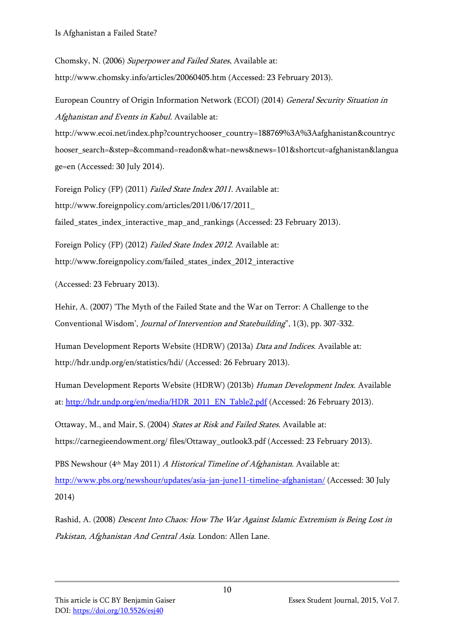Chomsky, N. (2006) Superpower and Failed States, Available at: http://www.chomsky.info/articles/20060405.htm (Accessed: 23 February 2013).

European Country of Origin Information Network (ECOI) (2014) General Security Situation in Afghanistan and Events in Kabul. Available at:

http://www.ecoi.net/index.php?countrychooser\_country=188769%3A%3Aafghanistan&countryc hooser\_search=&step=&command=readon&what=news&news=101&shortcut=afghanistan&langua ge=en (Accessed: 30 July 2014).

Foreign Policy (FP) (2011) Failed State Index 2011. Available at: http://www.foreignpolicy.com/articles/2011/06/17/2011\_ failed\_states\_index\_interactive\_map\_and\_rankings (Accessed: 23 February 2013).

Foreign Policy (FP) (2012) Failed State Index 2012. Available at: http://www.foreignpolicy.com/failed\_states\_index\_2012\_interactive

(Accessed: 23 February 2013).

Hehir, A. (2007) 'The Myth of the Failed State and the War on Terror: A Challenge to the Conventional Wisdom', Journal of Intervention and Statebuilding", 1(3), pp. 307-332.

Human Development Reports Website (HDRW) (2013a) Data and Indices. Available at: http://hdr.undp.org/en/statistics/hdi/ (Accessed: 26 February 2013).

Human Development Reports Website (HDRW) (2013b) Human Development Index. Available at: [http://hdr.undp.org/en/media/HDR\\_2011\\_EN\\_Table2.pdf](http://hdr.undp.org/en/media/HDR_2011_EN_Table2.pdf) (Accessed: 26 February 2013).

Ottaway, M., and Mair, S. (2004) States at Risk and Failed States. Available at: https://carnegieendowment.org/ files/Ottaway\_outlook3.pdf (Accessed: 23 February 2013).

PBS Newshour (4<sup>th</sup> May 2011) A Historical Timeline of Afghanistan. Available at: <http://www.pbs.org/newshour/updates/asia-jan-june11-timeline-afghanistan/> (Accessed: 30 July 2014)

Rashid, A. (2008) Descent Into Chaos: How The War Against Islamic Extremism is Being Lost in Pakistan, Afghanistan And Central Asia. London: Allen Lane.